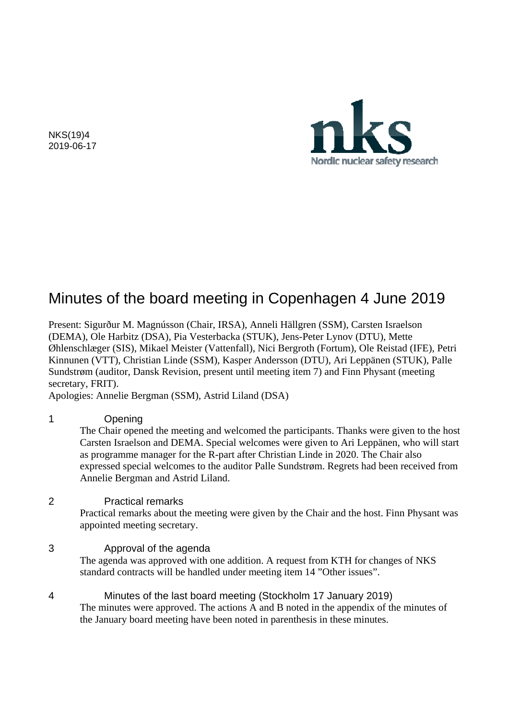

NKS(19)4 2019-06-17

# Minutes of the board meeting in Copenhagen 4 June 2019

Present: Sigurður M. Magnússon (Chair, IRSA), Anneli Hällgren (SSM), Carsten Israelson (DEMA), Ole Harbitz (DSA), Pia Vesterbacka (STUK), Jens-Peter Lynov (DTU), Mette Øhlenschlæger (SIS), Mikael Meister (Vattenfall), Nici Bergroth (Fortum), Ole Reistad (IFE), Petri Kinnunen (VTT), Christian Linde (SSM), Kasper Andersson (DTU), Ari Leppänen (STUK), Palle Sundstrøm (auditor, Dansk Revision, present until meeting item 7) and Finn Physant (meeting secretary, FRIT).

Apologies: Annelie Bergman (SSM), Astrid Liland (DSA)

## 1 Opening

The Chair opened the meeting and welcomed the participants. Thanks were given to the host Carsten Israelson and DEMA. Special welcomes were given to Ari Leppänen, who will start as programme manager for the R-part after Christian Linde in 2020. The Chair also expressed special welcomes to the auditor Palle Sundstrøm. Regrets had been received from Annelie Bergman and Astrid Liland.

## 2 Practical remarks

Practical remarks about the meeting were given by the Chair and the host. Finn Physant was appointed meeting secretary.

## 3 Approval of the agenda

 The agenda was approved with one addition. A request from KTH for changes of NKS standard contracts will be handled under meeting item 14 "Other issues".

4 Minutes of the last board meeting (Stockholm 17 January 2019) The minutes were approved. The actions A and B noted in the appendix of the minutes of the January board meeting have been noted in parenthesis in these minutes.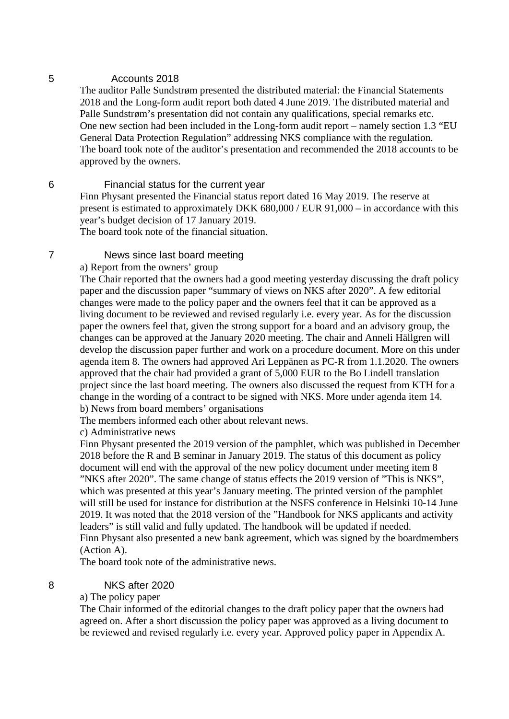## 5 Accounts 2018

The auditor Palle Sundstrøm presented the distributed material: the Financial Statements 2018 and the Long-form audit report both dated 4 June 2019. The distributed material and Palle Sundstrøm's presentation did not contain any qualifications, special remarks etc. One new section had been included in the Long-form audit report – namely section 1.3 "EU General Data Protection Regulation" addressing NKS compliance with the regulation. The board took note of the auditor's presentation and recommended the 2018 accounts to be approved by the owners.

## 6 Financial status for the current year

Finn Physant presented the Financial status report dated 16 May 2019. The reserve at present is estimated to approximately DKK 680,000 / EUR 91,000 – in accordance with this year's budget decision of 17 January 2019.

The board took note of the financial situation.

## 7 News since last board meeting

a) Report from the owners' group

The Chair reported that the owners had a good meeting yesterday discussing the draft policy paper and the discussion paper "summary of views on NKS after 2020". A few editorial changes were made to the policy paper and the owners feel that it can be approved as a living document to be reviewed and revised regularly i.e. every year. As for the discussion paper the owners feel that, given the strong support for a board and an advisory group, the changes can be approved at the January 2020 meeting. The chair and Anneli Hällgren will develop the discussion paper further and work on a procedure document. More on this under agenda item 8. The owners had approved Ari Leppänen as PC-R from 1.1.2020. The owners approved that the chair had provided a grant of 5,000 EUR to the Bo Lindell translation project since the last board meeting. The owners also discussed the request from KTH for a change in the wording of a contract to be signed with NKS. More under agenda item 14. b) News from board members' organisations

The members informed each other about relevant news.

c) Administrative news

Finn Physant presented the 2019 version of the pamphlet, which was published in December 2018 before the R and B seminar in January 2019. The status of this document as policy document will end with the approval of the new policy document under meeting item 8 "NKS after 2020". The same change of status effects the 2019 version of "This is NKS", which was presented at this year's January meeting. The printed version of the pamphlet will still be used for instance for distribution at the NSFS conference in Helsinki 10-14 June 2019. It was noted that the 2018 version of the "Handbook for NKS applicants and activity leaders" is still valid and fully updated. The handbook will be updated if needed. Finn Physant also presented a new bank agreement, which was signed by the boardmembers (Action A).

The board took note of the administrative news.

8 NKS after 2020

## a) The policy paper

The Chair informed of the editorial changes to the draft policy paper that the owners had agreed on. After a short discussion the policy paper was approved as a living document to be reviewed and revised regularly i.e. every year. Approved policy paper in Appendix A.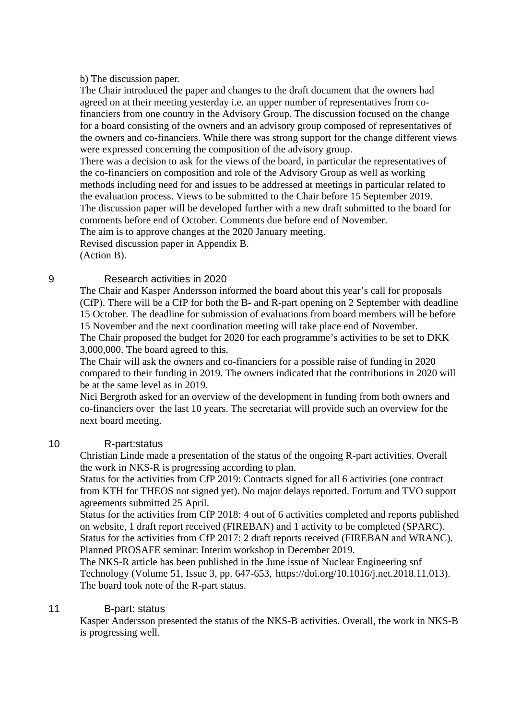#### b) The discussion paper.

The Chair introduced the paper and changes to the draft document that the owners had agreed on at their meeting yesterday i.e. an upper number of representatives from cofinanciers from one country in the Advisory Group. The discussion focused on the change for a board consisting of the owners and an advisory group composed of representatives of the owners and co-financiers. While there was strong support for the change different views were expressed concerning the composition of the advisory group.

There was a decision to ask for the views of the board, in particular the representatives of the co-financiers on composition and role of the Advisory Group as well as working methods including need for and issues to be addressed at meetings in particular related to the evaluation process. Views to be submitted to the Chair before 15 September 2019. The discussion paper will be developed further with a new draft submitted to the board for comments before end of October. Comments due before end of November.

The aim is to approve changes at the 2020 January meeting.

Revised discussion paper in Appendix B.

(Action B).

## 9 Research activities in 2020

The Chair and Kasper Andersson informed the board about this year's call for proposals (CfP). There will be a CfP for both the B- and R-part opening on 2 September with deadline 15 October. The deadline for submission of evaluations from board members will be before 15 November and the next coordination meeting will take place end of November. The Chair proposed the budget for 2020 for each programme's activities to be set to DKK 3,000,000. The board agreed to this.

The Chair will ask the owners and co-financiers for a possible raise of funding in 2020 compared to their funding in 2019. The owners indicated that the contributions in 2020 will be at the same level as in 2019.

Nici Bergroth asked for an overview of the development in funding from both owners and co-financiers over the last 10 years. The secretariat will provide such an overview for the next board meeting.

## 10 R-part:status

Christian Linde made a presentation of the status of the ongoing R-part activities. Overall the work in NKS-R is progressing according to plan.

Status for the activities from CfP 2019: Contracts signed for all 6 activities (one contract from KTH for THEOS not signed yet). No major delays reported. Fortum and TVO support agreements submitted 25 April.

Status for the activities from CfP 2018: 4 out of 6 activities completed and reports published on website, 1 draft report received (FIREBAN) and 1 activity to be completed (SPARC). Status for the activities from CfP 2017: 2 draft reports received (FIREBAN and WRANC). Planned PROSAFE seminar: Interim workshop in December 2019.

The NKS-R article has been published in the June issue of Nuclear Engineering snf Technology (Volume 51, Issue 3, pp. 647-653, <https://doi.org/10.1016/j.net.2018.11.013>). The board took note of the R-part status.

## 11 B-part: status

Kasper Andersson presented the status of the NKS-B activities. Overall, the work in NKS-B is progressing well.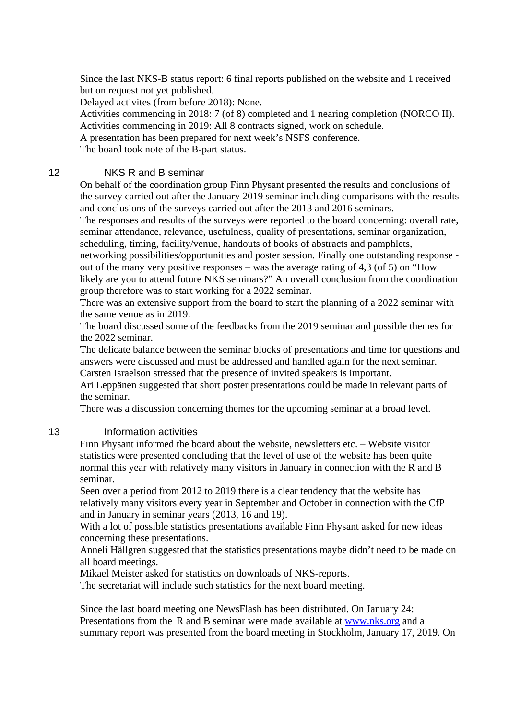Since the last NKS-B status report: 6 final reports published on the website and 1 received but on request not yet published.

Delayed activites (from before 2018): None.

Activities commencing in 2018: 7 (of 8) completed and 1 nearing completion (NORCO II). Activities commencing in 2019: All 8 contracts signed, work on schedule.

A presentation has been prepared for next week's NSFS conference.

The board took note of the B-part status.

## 12 NKS R and B seminar

On behalf of the coordination group Finn Physant presented the results and conclusions of the survey carried out after the January 2019 seminar including comparisons with the results and conclusions of the surveys carried out after the 2013 and 2016 seminars.

The responses and results of the surveys were reported to the board concerning: overall rate, seminar attendance, relevance, usefulness, quality of presentations, seminar organization, scheduling, timing, facility/venue, handouts of books of abstracts and pamphlets,

networking possibilities/opportunities and poster session. Finally one outstanding response out of the many very positive responses – was the average rating of 4,3 (of 5) on "How

likely are you to attend future NKS seminars?" An overall conclusion from the coordination group therefore was to start working for a 2022 seminar.

There was an extensive support from the board to start the planning of a 2022 seminar with the same venue as in 2019.

The board discussed some of the feedbacks from the 2019 seminar and possible themes for the 2022 seminar.

The delicate balance between the seminar blocks of presentations and time for questions and answers were discussed and must be addressed and handled again for the next seminar. Carsten Israelson stressed that the presence of invited speakers is important.

Ari Leppänen suggested that short poster presentations could be made in relevant parts of the seminar.

There was a discussion concerning themes for the upcoming seminar at a broad level.

## 13 Information activities

Finn Physant informed the board about the website, newsletters etc. – Website visitor statistics were presented concluding that the level of use of the website has been quite normal this year with relatively many visitors in January in connection with the R and B seminar.

Seen over a period from 2012 to 2019 there is a clear tendency that the website has relatively many visitors every year in September and October in connection with the CfP and in January in seminar years (2013, 16 and 19).

With a lot of possible statistics presentations available Finn Physant asked for new ideas concerning these presentations.

Anneli Hällgren suggested that the statistics presentations maybe didn't need to be made on all board meetings.

Mikael Meister asked for statistics on downloads of NKS-reports.

The secretariat will include such statistics for the next board meeting.

Since the last board meeting one NewsFlash has been distributed. On January 24: Presentations from the R and B seminar were made available at [www.nks.org](http://www.nks.org/) and a summary report was presented from the board meeting in Stockholm, January 17, 2019. On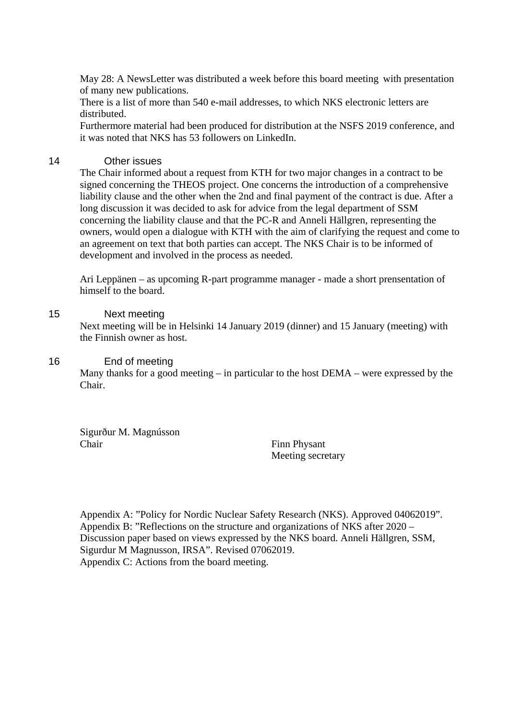May 28: A NewsLetter was distributed a week before this board meeting with presentation of many new publications.

There is a list of more than 540 e-mail addresses, to which NKS electronic letters are distributed.

Furthermore material had been produced for distribution at the NSFS 2019 conference, and it was noted that NKS has 53 followers on LinkedIn.

## 14 Other issues

The Chair informed about a request from KTH for two major changes in a contract to be signed concerning the THEOS project. One concerns the introduction of a comprehensive liability clause and the other when the 2nd and final payment of the contract is due. After a long discussion it was decided to ask for advice from the legal department of SSM concerning the liability clause and that the PC-R and Anneli Hällgren, representing the owners, would open a dialogue with KTH with the aim of clarifying the request and come to an agreement on text that both parties can accept. The NKS Chair is to be informed of development and involved in the process as needed.

Ari Leppänen – as upcoming R-part programme manager - made a short prensentation of himself to the board.

## 15 Next meeting

Next meeting will be in Helsinki 14 January 2019 (dinner) and 15 January (meeting) with the Finnish owner as host.

## 16 End of meeting

Many thanks for a good meeting  $-$  in particular to the host  $DEMA$  – were expressed by the Chair.

Sigurður M. Magnússon Chair Finn Physant

Meeting secretary

Appendix A: "Policy for Nordic Nuclear Safety Research (NKS). Approved 04062019". Appendix B: "Reflections on the structure and organizations of NKS after 2020 – Discussion paper based on views expressed by the NKS board. Anneli Hällgren, SSM, Sigurdur M Magnusson, IRSA". Revised 07062019. Appendix C: Actions from the board meeting.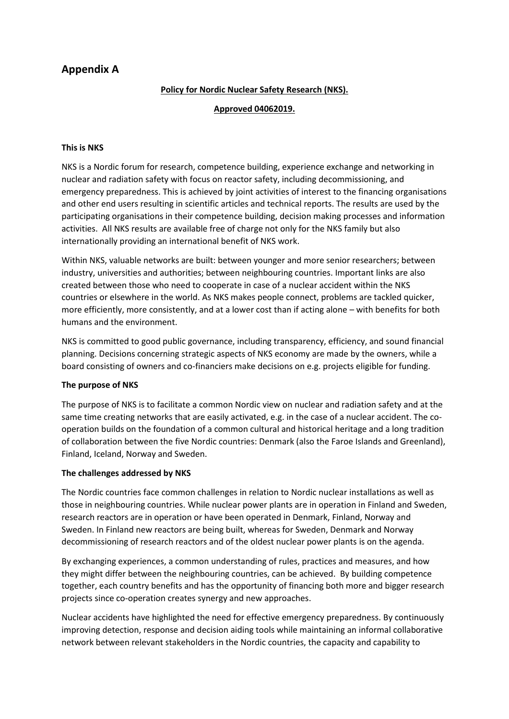# **Appendix A**

## **Policy for Nordic Nuclear Safety Research (NKS).**

#### **Approved 04062019.**

#### **This is NKS**

NKS is a Nordic forum for research, competence building, experience exchange and networking in nuclear and radiation safety with focus on reactor safety, including decommissioning, and emergency preparedness. This is achieved by joint activities of interest to the financing organisations and other end users resulting in scientific articles and technical reports. The results are used by the participating organisations in their competence building, decision making processes and information activities. All NKS results are available free of charge not only for the NKS family but also internationally providing an international benefit of NKS work.

Within NKS, valuable networks are built: between younger and more senior researchers; between industry, universities and authorities; between neighbouring countries. Important links are also created between those who need to cooperate in case of a nuclear accident within the NKS countries or elsewhere in the world. As NKS makes people connect, problems are tackled quicker, more efficiently, more consistently, and at a lower cost than if acting alone – with benefits for both humans and the environment.

NKS is committed to good public governance, including transparency, efficiency, and sound financial planning. Decisions concerning strategic aspects of NKS economy are made by the owners, while a board consisting of owners and co-financiers make decisions on e.g. projects eligible for funding.

## **The purpose of NKS**

The purpose of NKS is to facilitate a common Nordic view on nuclear and radiation safety and at the same time creating networks that are easily activated, e.g. in the case of a nuclear accident. The cooperation builds on the foundation of a common cultural and historical heritage and a long tradition of collaboration between the five Nordic countries: Denmark (also the Faroe Islands and Greenland), Finland, Iceland, Norway and Sweden.

## **The challenges addressed by NKS**

The Nordic countries face common challenges in relation to Nordic nuclear installations as well as those in neighbouring countries. While nuclear power plants are in operation in Finland and Sweden, research reactors are in operation or have been operated in Denmark, Finland, Norway and Sweden. In Finland new reactors are being built, whereas for Sweden, Denmark and Norway decommissioning of research reactors and of the oldest nuclear power plants is on the agenda.

By exchanging experiences, a common understanding of rules, practices and measures, and how they might differ between the neighbouring countries, can be achieved. By building competence together, each country benefits and has the opportunity of financing both more and bigger research projects since co-operation creates synergy and new approaches.

Nuclear accidents have highlighted the need for effective emergency preparedness. By continuously improving detection, response and decision aiding tools while maintaining an informal collaborative network between relevant stakeholders in the Nordic countries, the capacity and capability to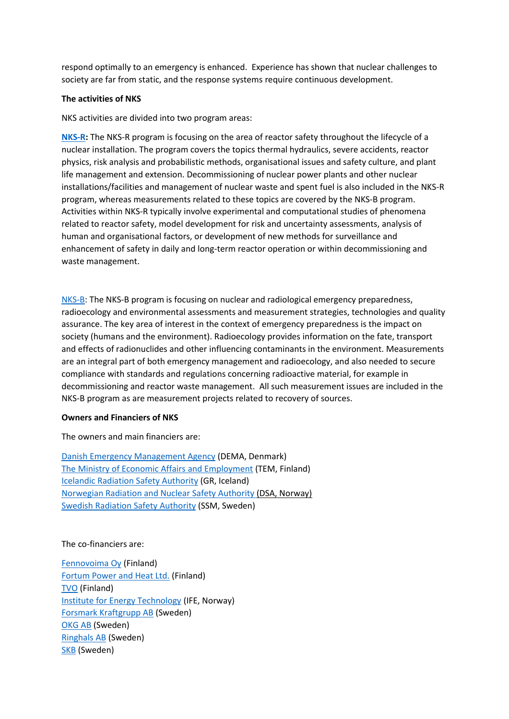respond optimally to an emergency is enhanced. Experience has shown that nuclear challenges to society are far from static, and the response systems require continuous development.

#### **The activities of NKS**

NKS activities are divided into two program areas:

**[NKS-R:](http://www.nks.org/en/nksr/nksr.htm)** The NKS-R program is focusing on the area of reactor safety throughout the lifecycle of a nuclear installation. The program covers the topics thermal hydraulics, severe accidents, reactor physics, risk analysis and probabilistic methods, organisational issues and safety culture, and plant life management and extension. Decommissioning of nuclear power plants and other nuclear installations/facilities and management of nuclear waste and spent fuel is also included in the NKS-R program, whereas measurements related to these topics are covered by the NKS-B program. Activities within NKS-R typically involve experimental and computational studies of phenomena related to reactor safety, model development for risk and uncertainty assessments, analysis of human and organisational factors, or development of new methods for surveillance and enhancement of safety in daily and long-term reactor operation or within decommissioning and waste management.

[NKS-B:](http://www.nks.org/en/nksb/nksb.htm) The NKS-B program is focusing on nuclear and radiological emergency preparedness, radioecology and environmental assessments and measurement strategies, technologies and quality assurance. The key area of interest in the context of emergency preparedness is the impact on society (humans and the environment). Radioecology provides information on the fate, transport and effects of radionuclides and other influencing contaminants in the environment. Measurements are an integral part of both emergency management and radioecology, and also needed to secure compliance with standards and regulations concerning radioactive material, for example in decommissioning and reactor waste management. All such measurement issues are included in the NKS-B program as are measurement projects related to recovery of sources.

#### **Owners and Financiers of NKS**

The owners and main financiers are:

[Danish Emergency Management Agency](http://brs.dk/eng/Pages/dema.aspx) (DEMA, Denmark) [The Ministry of Economic Affairs](http://www.tem.fi/en/frontpage) and Employment (TEM, Finland) [Icelandic Radiation Safety Authority](http://www.gr.is/) (GR, Iceland) Norwegian Radiation and Nuclear Safety Authority (DSA, Norway) [Swedish Radiation Safety Authority](http://www.stralsakerhetsmyndigheten.se/In-English/About-the-Swedish-Radiation-Safety-Authority1/) (SSM, Sweden)

The co-financiers are:

[Fennovoima Oy](http://www.fennovoima.fi/en) (Finland) [Fortum Power and Heat Ltd.](http://www.fortum.com/en/pages/default.aspx) (Finland) [TVO](http://www.tvo.fi/Home) (Finland) [Institute for Energy Technology](http://www.ife.no/Frontpage-en) (IFE, Norway) [Forsmark Kraftgrupp AB](http://www.vattenfall.se/sv/forsmark.htm) (Sweden) [OKG AB](http://www.okg.se/) (Sweden) [Ringhals AB](http://www.vattenfall.se/sv/ringhals.htm) (Sweden) [SKB](http://www.skb.com/) (Sweden)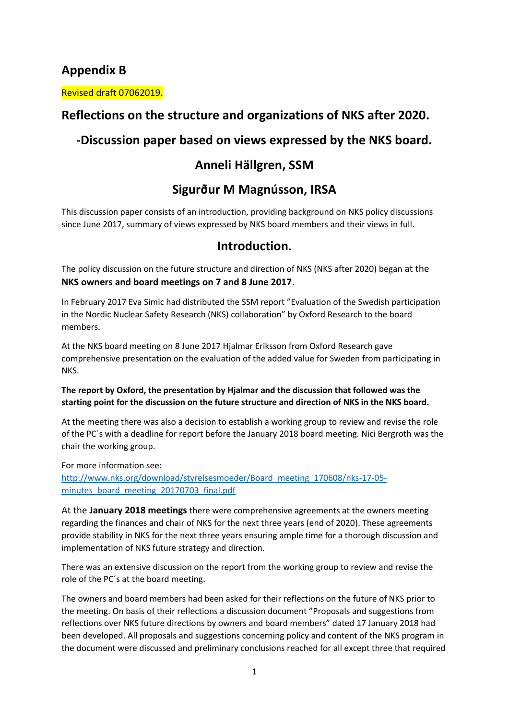# **Appendix B**

Revised draft 07062019.

# **Reflections on the structure and organizations of NKS after 2020.**

# **-Discussion paper based on views expressed by the NKS board.**

# **Anneli Hällgren, SSM**

# **Sigurður M Magnússon, IRSA**

This discussion paper consists of an introduction, providing background on NKS policy discussions since June 2017, summary of views expressed by NKS board members and their views in full.

## **Introduction.**

The policy discussion on the future structure and direction of NKS (NKS after 2020) began at the **NKS owners and board meetings on 7 and 8 June 2017**.

In February 2017 Eva Simic had distributed the SSM report "Evaluation of the Swedish participation in the Nordic Nuclear Safety Research (NKS) collaboration" by Oxford Research to the board members.

At the NKS board meeting on 8 June 2017 Hjalmar Eriksson from Oxford Research gave comprehensive presentation on the evaluation of the added value for Sweden from participating in NKS.

## **The report by Oxford, the presentation by Hjalmar and the discussion that followed was the starting point for the discussion on the future structure and direction of NKS in the NKS board.**

At the meeting there was also a decision to establish a working group to review and revise the role of the PC´s with a deadline for report before the January 2018 board meeting. Nici Bergroth was the chair the working group.

For more information see:

[http://www.nks.org/download/styrelsesmoeder/Board\\_meeting\\_170608/nks-17-05](http://www.nks.org/download/styrelsesmoeder/Board_meeting_170608/nks-17-05-minutes_board_meeting_20170703_final.pdf) [minutes\\_board\\_meeting\\_20170703\\_final.pdf](http://www.nks.org/download/styrelsesmoeder/Board_meeting_170608/nks-17-05-minutes_board_meeting_20170703_final.pdf)

At the **January 2018 meetings** there were comprehensive agreements at the owners meeting regarding the finances and chair of NKS for the next three years (end of 2020). These agreements provide stability in NKS for the next three years ensuring ample time for a thorough discussion and implementation of NKS future strategy and direction.

There was an extensive discussion on the report from the working group to review and revise the role of the PC´s at the board meeting.

The owners and board members had been asked for their reflections on the future of NKS prior to the meeting. On basis of their reflections a discussion document "Proposals and suggestions from reflections over NKS future directions by owners and board members" dated 17 January 2018 had been developed. All proposals and suggestions concerning policy and content of the NKS program in the document were discussed and preliminary conclusions reached for all except three that required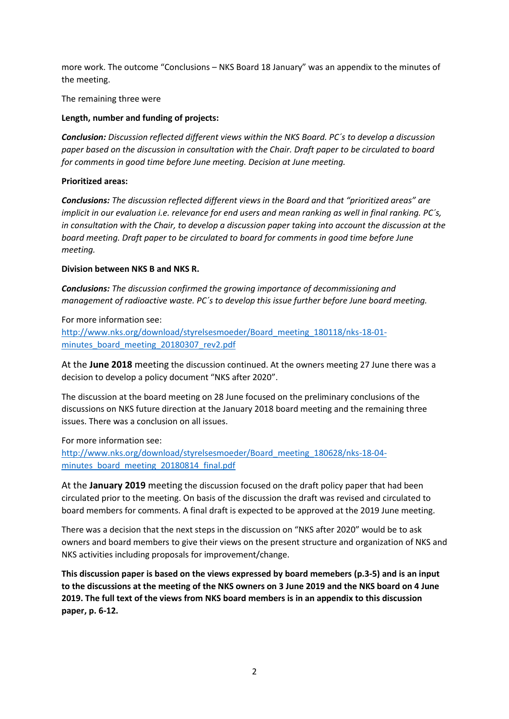more work. The outcome "Conclusions – NKS Board 18 January" was an appendix to the minutes of the meeting.

The remaining three were

#### **Length, number and funding of projects:**

*Conclusion: Discussion reflected different views within the NKS Board. PC´s to develop a discussion paper based on the discussion in consultation with the Chair. Draft paper to be circulated to board for comments in good time before June meeting. Decision at June meeting.* 

#### **Prioritized areas:**

*Conclusions: The discussion reflected different views in the Board and that "prioritized areas" are implicit in our evaluation i.e. relevance for end users and mean ranking as well in final ranking. PC´s, in consultation with the Chair, to develop a discussion paper taking into account the discussion at the board meeting. Draft paper to be circulated to board for comments in good time before June meeting.*

#### **Division between NKS B and NKS R.**

*Conclusions: The discussion confirmed the growing importance of decommissioning and management of radioactive waste. PC´s to develop this issue further before June board meeting.*

For more information see: [http://www.nks.org/download/styrelsesmoeder/Board\\_meeting\\_180118/nks-18-01](http://www.nks.org/download/styrelsesmoeder/Board_meeting_180118/nks-18-01-minutes_board_meeting_20180307_rev2.pdf) [minutes\\_board\\_meeting\\_20180307\\_rev2.pdf](http://www.nks.org/download/styrelsesmoeder/Board_meeting_180118/nks-18-01-minutes_board_meeting_20180307_rev2.pdf)

At the **June 2018** meeting the discussion continued. At the owners meeting 27 June there was a decision to develop a policy document "NKS after 2020".

The discussion at the board meeting on 28 June focused on the preliminary conclusions of the discussions on NKS future direction at the January 2018 board meeting and the remaining three issues. There was a conclusion on all issues.

## For more information see:

[http://www.nks.org/download/styrelsesmoeder/Board\\_meeting\\_180628/nks-18-04](http://www.nks.org/download/styrelsesmoeder/Board_meeting_180628/nks-18-04-minutes_board_meeting_20180814_final.pdf) [minutes\\_board\\_meeting\\_20180814\\_final.pdf](http://www.nks.org/download/styrelsesmoeder/Board_meeting_180628/nks-18-04-minutes_board_meeting_20180814_final.pdf)

At the **January 2019** meeting the discussion focused on the draft policy paper that had been circulated prior to the meeting. On basis of the discussion the draft was revised and circulated to board members for comments. A final draft is expected to be approved at the 2019 June meeting.

There was a decision that the next steps in the discussion on "NKS after 2020" would be to ask owners and board members to give their views on the present structure and organization of NKS and NKS activities including proposals for improvement/change.

**This discussion paper is based on the views expressed by board memebers (p.3-5) and is an input to the discussions at the meeting of the NKS owners on 3 June 2019 and the NKS board on 4 June 2019. The full text of the views from NKS board members is in an appendix to this discussion paper, p. 6-12.**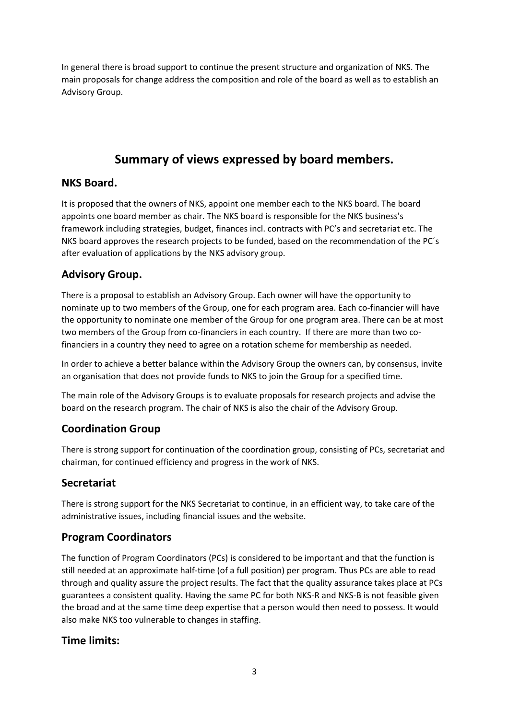In general there is broad support to continue the present structure and organization of NKS. The main proposals for change address the composition and role of the board as well as to establish an Advisory Group.

# **Summary of views expressed by board members.**

## **NKS Board.**

It is proposed that the owners of NKS, appoint one member each to the NKS board. The board appoints one board member as chair. The NKS board is responsible for the NKS business's framework including strategies, budget, finances incl. contracts with PC's and secretariat etc. The NKS board approves the research projects to be funded, based on the recommendation of the PC´s after evaluation of applications by the NKS advisory group.

# **Advisory Group.**

There is a proposal to establish an Advisory Group. Each owner will have the opportunity to nominate up to two members of the Group, one for each program area. Each co-financier will have the opportunity to nominate one member of the Group for one program area. There can be at most two members of the Group from co-financiers in each country. If there are more than two cofinanciers in a country they need to agree on a rotation scheme for membership as needed.

In order to achieve a better balance within the Advisory Group the owners can, by consensus, invite an organisation that does not provide funds to NKS to join the Group for a specified time.

The main role of the Advisory Groups is to evaluate proposals for research projects and advise the board on the research program. The chair of NKS is also the chair of the Advisory Group.

# **Coordination Group**

There is strong support for continuation of the coordination group, consisting of PCs, secretariat and chairman, for continued efficiency and progress in the work of NKS.

# **Secretariat**

There is strong support for the NKS Secretariat to continue, in an efficient way, to take care of the administrative issues, including financial issues and the website.

## **Program Coordinators**

The function of Program Coordinators (PCs) is considered to be important and that the function is still needed at an approximate half-time (of a full position) per program. Thus PCs are able to read through and quality assure the project results. The fact that the quality assurance takes place at PCs guarantees a consistent quality. Having the same PC for both NKS-R and NKS-B is not feasible given the broad and at the same time deep expertise that a person would then need to possess. It would also make NKS too vulnerable to changes in staffing.

## **Time limits:**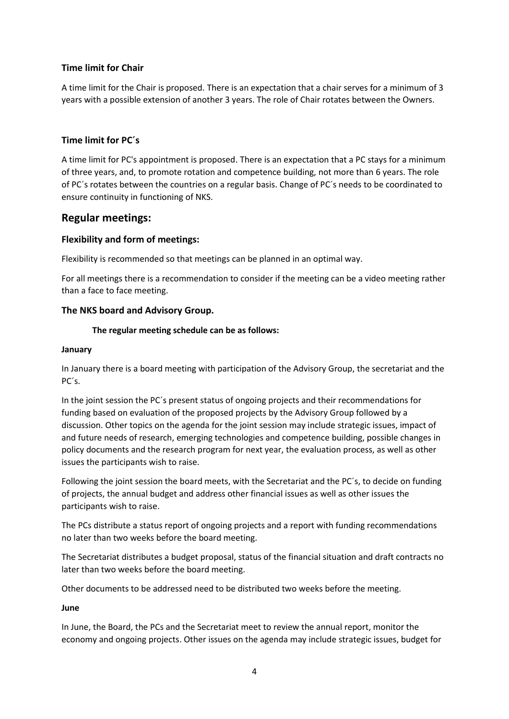## **Time limit for Chair**

A time limit for the Chair is proposed. There is an expectation that a chair serves for a minimum of 3 years with a possible extension of another 3 years. The role of Chair rotates between the Owners.

## **Time limit for PC´s**

A time limit for PC's appointment is proposed. There is an expectation that a PC stays for a minimum of three years, and, to promote rotation and competence building, not more than 6 years. The role of PC´s rotates between the countries on a regular basis. Change of PC´s needs to be coordinated to ensure continuity in functioning of NKS.

## **Regular meetings:**

## **Flexibility and form of meetings:**

Flexibility is recommended so that meetings can be planned in an optimal way.

For all meetings there is a recommendation to consider if the meeting can be a video meeting rather than a face to face meeting.

## **The NKS board and Advisory Group.**

#### **The regular meeting schedule can be as follows:**

#### **January**

In January there is a board meeting with participation of the Advisory Group, the secretariat and the PC´s.

In the joint session the PC´s present status of ongoing projects and their recommendations for funding based on evaluation of the proposed projects by the Advisory Group followed by a discussion. Other topics on the agenda for the joint session may include strategic issues, impact of and future needs of research, emerging technologies and competence building, possible changes in policy documents and the research program for next year, the evaluation process, as well as other issues the participants wish to raise.

Following the joint session the board meets, with the Secretariat and the PC´s, to decide on funding of projects, the annual budget and address other financial issues as well as other issues the participants wish to raise.

The PCs distribute a status report of ongoing projects and a report with funding recommendations no later than two weeks before the board meeting.

The Secretariat distributes a budget proposal, status of the financial situation and draft contracts no later than two weeks before the board meeting.

Other documents to be addressed need to be distributed two weeks before the meeting.

#### **June**

In June, the Board, the PCs and the Secretariat meet to review the annual report, monitor the economy and ongoing projects. Other issues on the agenda may include strategic issues, budget for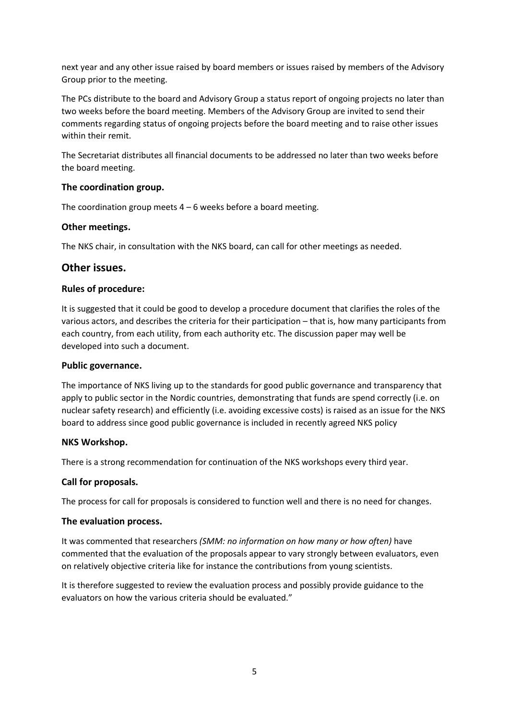next year and any other issue raised by board members or issues raised by members of the Advisory Group prior to the meeting.

The PCs distribute to the board and Advisory Group a status report of ongoing projects no later than two weeks before the board meeting. Members of the Advisory Group are invited to send their comments regarding status of ongoing projects before the board meeting and to raise other issues within their remit.

The Secretariat distributes all financial documents to be addressed no later than two weeks before the board meeting.

## **The coordination group.**

The coordination group meets  $4 - 6$  weeks before a board meeting.

## **Other meetings.**

The NKS chair, in consultation with the NKS board, can call for other meetings as needed.

## **Other issues.**

#### **Rules of procedure:**

It is suggested that it could be good to develop a procedure document that clarifies the roles of the various actors, and describes the criteria for their participation – that is, how many participants from each country, from each utility, from each authority etc. The discussion paper may well be developed into such a document.

#### **Public governance.**

The importance of NKS living up to the standards for good public governance and transparency that apply to public sector in the Nordic countries, demonstrating that funds are spend correctly (i.e. on nuclear safety research) and efficiently (i.e. avoiding excessive costs) is raised as an issue for the NKS board to address since good public governance is included in recently agreed NKS policy

## **NKS Workshop.**

There is a strong recommendation for continuation of the NKS workshops every third year.

## **Call for proposals.**

The process for call for proposals is considered to function well and there is no need for changes.

## **The evaluation process.**

It was commented that researchers *(SMM: no information on how many or how often)* have commented that the evaluation of the proposals appear to vary strongly between evaluators, even on relatively objective criteria like for instance the contributions from young scientists.

It is therefore suggested to review the evaluation process and possibly provide guidance to the evaluators on how the various criteria should be evaluated."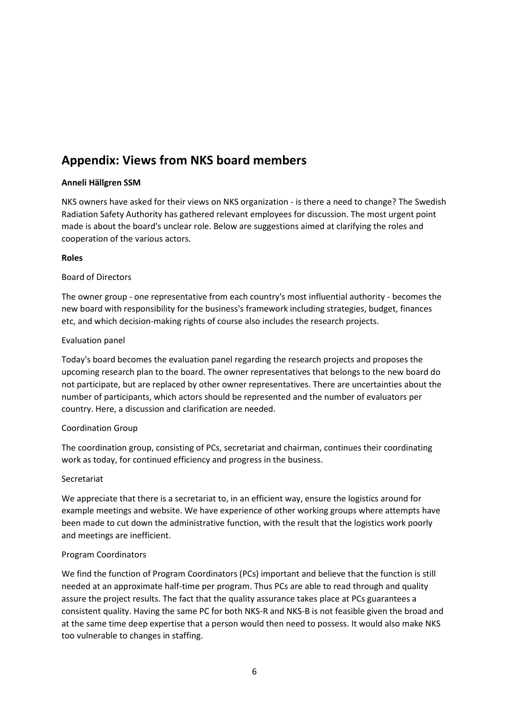# **Appendix: Views from NKS board members**

## **Anneli Hällgren SSM**

NKS owners have asked for their views on NKS organization - is there a need to change? The Swedish Radiation Safety Authority has gathered relevant employees for discussion. The most urgent point made is about the board's unclear role. Below are suggestions aimed at clarifying the roles and cooperation of the various actors.

#### **Roles**

#### Board of Directors

The owner group - one representative from each country's most influential authority - becomes the new board with responsibility for the business's framework including strategies, budget, finances etc, and which decision-making rights of course also includes the research projects.

## Evaluation panel

Today's board becomes the evaluation panel regarding the research projects and proposes the upcoming research plan to the board. The owner representatives that belongs to the new board do not participate, but are replaced by other owner representatives. There are uncertainties about the number of participants, which actors should be represented and the number of evaluators per country. Here, a discussion and clarification are needed.

## Coordination Group

The coordination group, consisting of PCs, secretariat and chairman, continues their coordinating work as today, for continued efficiency and progress in the business.

## Secretariat

We appreciate that there is a secretariat to, in an efficient way, ensure the logistics around for example meetings and website. We have experience of other working groups where attempts have been made to cut down the administrative function, with the result that the logistics work poorly and meetings are inefficient.

## Program Coordinators

We find the function of Program Coordinators (PCs) important and believe that the function is still needed at an approximate half-time per program. Thus PCs are able to read through and quality assure the project results. The fact that the quality assurance takes place at PCs guarantees a consistent quality. Having the same PC for both NKS-R and NKS-B is not feasible given the broad and at the same time deep expertise that a person would then need to possess. It would also make NKS too vulnerable to changes in staffing.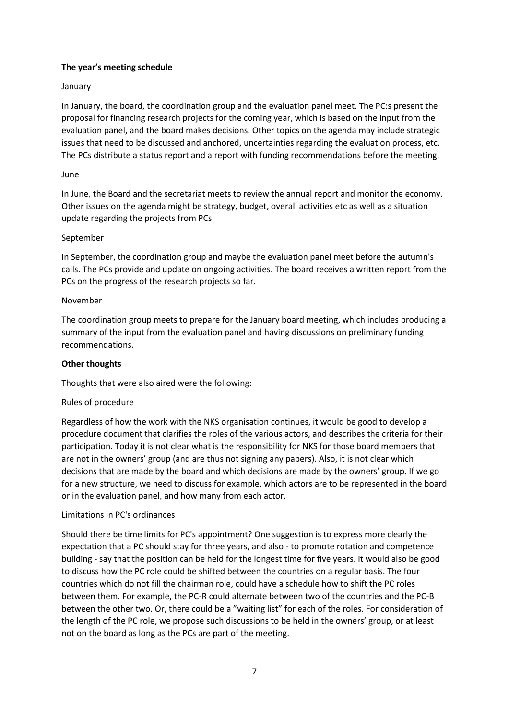## **The year's meeting schedule**

#### January

In January, the board, the coordination group and the evaluation panel meet. The PC:s present the proposal for financing research projects for the coming year, which is based on the input from the evaluation panel, and the board makes decisions. Other topics on the agenda may include strategic issues that need to be discussed and anchored, uncertainties regarding the evaluation process, etc. The PCs distribute a status report and a report with funding recommendations before the meeting.

#### June

In June, the Board and the secretariat meets to review the annual report and monitor the economy. Other issues on the agenda might be strategy, budget, overall activities etc as well as a situation update regarding the projects from PCs.

#### September

In September, the coordination group and maybe the evaluation panel meet before the autumn's calls. The PCs provide and update on ongoing activities. The board receives a written report from the PCs on the progress of the research projects so far.

#### November

The coordination group meets to prepare for the January board meeting, which includes producing a summary of the input from the evaluation panel and having discussions on preliminary funding recommendations.

#### **Other thoughts**

Thoughts that were also aired were the following:

## Rules of procedure

Regardless of how the work with the NKS organisation continues, it would be good to develop a procedure document that clarifies the roles of the various actors, and describes the criteria for their participation. Today it is not clear what is the responsibility for NKS for those board members that are not in the owners' group (and are thus not signing any papers). Also, it is not clear which decisions that are made by the board and which decisions are made by the owners' group. If we go for a new structure, we need to discuss for example, which actors are to be represented in the board or in the evaluation panel, and how many from each actor.

#### Limitations in PC's ordinances

Should there be time limits for PC's appointment? One suggestion is to express more clearly the expectation that a PC should stay for three years, and also - to promote rotation and competence building - say that the position can be held for the longest time for five years. It would also be good to discuss how the PC role could be shifted between the countries on a regular basis. The four countries which do not fill the chairman role, could have a schedule how to shift the PC roles between them. For example, the PC-R could alternate between two of the countries and the PC-B between the other two. Or, there could be a "waiting list" for each of the roles. For consideration of the length of the PC role, we propose such discussions to be held in the owners' group, or at least not on the board as long as the PCs are part of the meeting.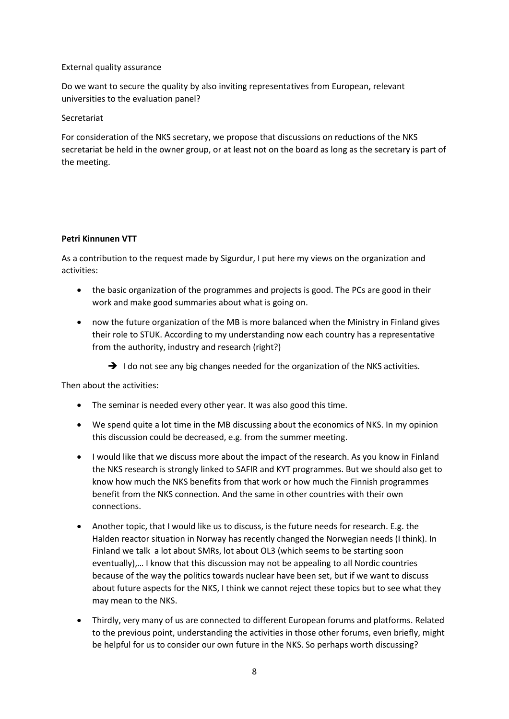#### External quality assurance

Do we want to secure the quality by also inviting representatives from European, relevant universities to the evaluation panel?

#### Secretariat

For consideration of the NKS secretary, we propose that discussions on reductions of the NKS secretariat be held in the owner group, or at least not on the board as long as the secretary is part of the meeting.

#### **Petri Kinnunen VTT**

As a contribution to the request made by Sigurdur, I put here my views on the organization and activities:

- the basic organization of the programmes and projects is good. The PCs are good in their work and make good summaries about what is going on.
- now the future organization of the MB is more balanced when the Ministry in Finland gives their role to STUK. According to my understanding now each country has a representative from the authority, industry and research (right?)
	- $\rightarrow$  I do not see any big changes needed for the organization of the NKS activities.

Then about the activities:

- The seminar is needed every other year. It was also good this time.
- We spend quite a lot time in the MB discussing about the economics of NKS. In my opinion this discussion could be decreased, e.g. from the summer meeting.
- I would like that we discuss more about the impact of the research. As you know in Finland the NKS research is strongly linked to SAFIR and KYT programmes. But we should also get to know how much the NKS benefits from that work or how much the Finnish programmes benefit from the NKS connection. And the same in other countries with their own connections.
- Another topic, that I would like us to discuss, is the future needs for research. E.g. the Halden reactor situation in Norway has recently changed the Norwegian needs (I think). In Finland we talk a lot about SMRs, lot about OL3 (which seems to be starting soon eventually),… I know that this discussion may not be appealing to all Nordic countries because of the way the politics towards nuclear have been set, but if we want to discuss about future aspects for the NKS, I think we cannot reject these topics but to see what they may mean to the NKS.
- Thirdly, very many of us are connected to different European forums and platforms. Related to the previous point, understanding the activities in those other forums, even briefly, might be helpful for us to consider our own future in the NKS. So perhaps worth discussing?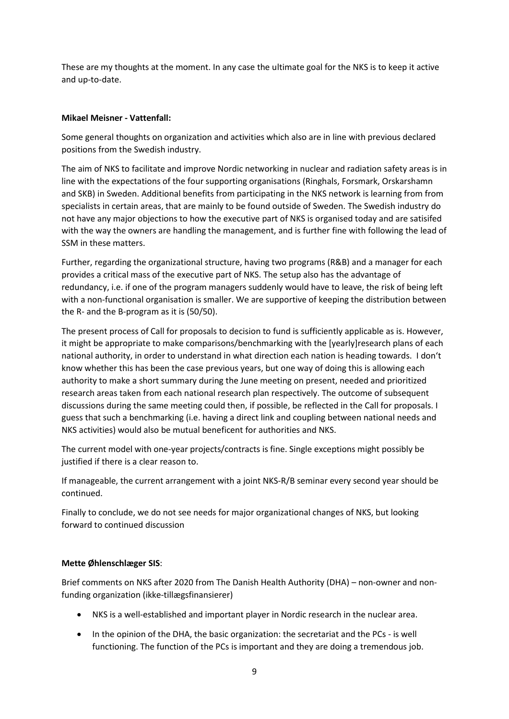These are my thoughts at the moment. In any case the ultimate goal for the NKS is to keep it active and up-to-date.

#### **Mikael Meisner - Vattenfall:**

Some general thoughts on organization and activities which also are in line with previous declared positions from the Swedish industry.

The aim of NKS to facilitate and improve Nordic networking in nuclear and radiation safety areas is in line with the expectations of the four supporting organisations (Ringhals, Forsmark, Orskarshamn and SKB) in Sweden. Additional benefits from participating in the NKS network is learning from from specialists in certain areas, that are mainly to be found outside of Sweden. The Swedish industry do not have any major objections to how the executive part of NKS is organised today and are satisifed with the way the owners are handling the management, and is further fine with following the lead of SSM in these matters.

Further, regarding the organizational structure, having two programs (R&B) and a manager for each provides a critical mass of the executive part of NKS. The setup also has the advantage of redundancy, i.e. if one of the program managers suddenly would have to leave, the risk of being left with a non-functional organisation is smaller. We are supportive of keeping the distribution between the R- and the B-program as it is (50/50).

The present process of Call for proposals to decision to fund is sufficiently applicable as is. However, it might be appropriate to make comparisons/benchmarking with the [yearly]research plans of each national authority, in order to understand in what direction each nation is heading towards. I don't know whether this has been the case previous years, but one way of doing this is allowing each authority to make a short summary during the June meeting on present, needed and prioritized research areas taken from each national research plan respectively. The outcome of subsequent discussions during the same meeting could then, if possible, be reflected in the Call for proposals. I guess that such a benchmarking (i.e. having a direct link and coupling between national needs and NKS activities) would also be mutual beneficent for authorities and NKS.

The current model with one-year projects/contracts is fine. Single exceptions might possibly be justified if there is a clear reason to.

If manageable, the current arrangement with a joint NKS-R/B seminar every second year should be continued.

Finally to conclude, we do not see needs for major organizational changes of NKS, but looking forward to continued discussion

## **Mette Øhlenschlæger SIS**:

Brief comments on NKS after 2020 from The Danish Health Authority (DHA) – non-owner and nonfunding organization (ikke-tillægsfinansierer)

- NKS is a well-established and important player in Nordic research in the nuclear area.
- In the opinion of the DHA, the basic organization: the secretariat and the PCs is well functioning. The function of the PCs is important and they are doing a tremendous job.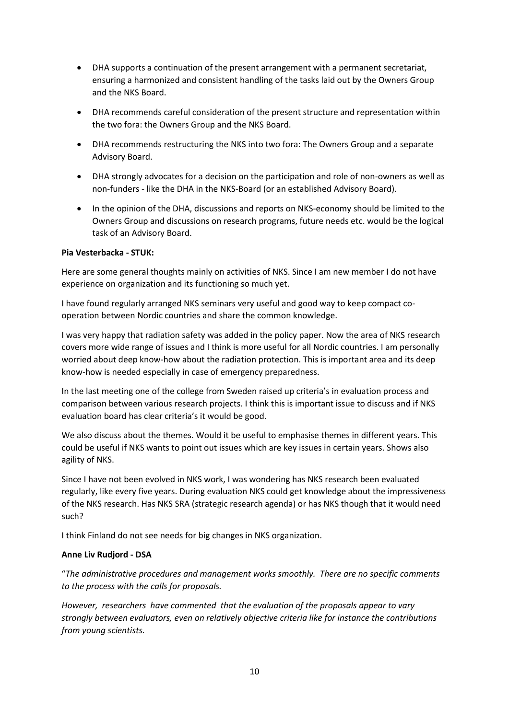- DHA supports a continuation of the present arrangement with a permanent secretariat, ensuring a harmonized and consistent handling of the tasks laid out by the Owners Group and the NKS Board.
- DHA recommends careful consideration of the present structure and representation within the two fora: the Owners Group and the NKS Board.
- DHA recommends restructuring the NKS into two fora: The Owners Group and a separate Advisory Board.
- DHA strongly advocates for a decision on the participation and role of non-owners as well as non-funders - like the DHA in the NKS-Board (or an established Advisory Board).
- In the opinion of the DHA, discussions and reports on NKS-economy should be limited to the Owners Group and discussions on research programs, future needs etc. would be the logical task of an Advisory Board.

#### **Pia Vesterbacka - STUK:**

Here are some general thoughts mainly on activities of NKS. Since I am new member I do not have experience on organization and its functioning so much yet.

I have found regularly arranged NKS seminars very useful and good way to keep compact cooperation between Nordic countries and share the common knowledge.

I was very happy that radiation safety was added in the policy paper. Now the area of NKS research covers more wide range of issues and I think is more useful for all Nordic countries. I am personally worried about deep know-how about the radiation protection. This is important area and its deep know-how is needed especially in case of emergency preparedness.

In the last meeting one of the college from Sweden raised up criteria's in evaluation process and comparison between various research projects. I think this is important issue to discuss and if NKS evaluation board has clear criteria's it would be good.

We also discuss about the themes. Would it be useful to emphasise themes in different years. This could be useful if NKS wants to point out issues which are key issues in certain years. Shows also agility of NKS.

Since I have not been evolved in NKS work, I was wondering has NKS research been evaluated regularly, like every five years. During evaluation NKS could get knowledge about the impressiveness of the NKS research. Has NKS SRA (strategic research agenda) or has NKS though that it would need such?

I think Finland do not see needs for big changes in NKS organization.

#### **Anne Liv Rudjord - DSA**

"*The administrative procedures and management works smoothly. There are no specific comments to the process with the calls for proposals.* 

*However, researchers have commented that the evaluation of the proposals appear to vary strongly between evaluators, even on relatively objective criteria like for instance the contributions from young scientists.*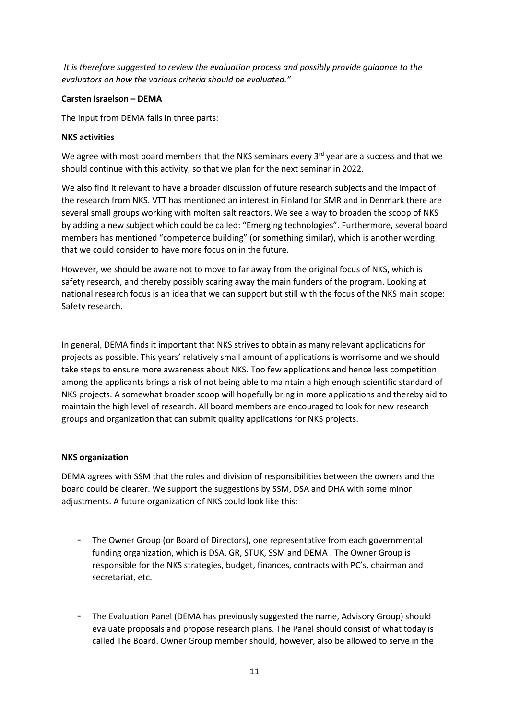*It is therefore suggested to review the evaluation process and possibly provide guidance to the evaluators on how the various criteria should be evaluated."*

#### **Carsten Israelson – DEMA**

The input from DEMA falls in three parts:

#### **NKS activities**

We agree with most board members that the NKS seminars every  $3<sup>rd</sup>$  year are a success and that we should continue with this activity, so that we plan for the next seminar in 2022.

We also find it relevant to have a broader discussion of future research subjects and the impact of the research from NKS. VTT has mentioned an interest in Finland for SMR and in Denmark there are several small groups working with molten salt reactors. We see a way to broaden the scoop of NKS by adding a new subject which could be called: "Emerging technologies". Furthermore, several board members has mentioned "competence building" (or something similar), which is another wording that we could consider to have more focus on in the future.

However, we should be aware not to move to far away from the original focus of NKS, which is safety research, and thereby possibly scaring away the main funders of the program. Looking at national research focus is an idea that we can support but still with the focus of the NKS main scope: Safety research.

In general, DEMA finds it important that NKS strives to obtain as many relevant applications for projects as possible. This years' relatively small amount of applications is worrisome and we should take steps to ensure more awareness about NKS. Too few applications and hence less competition among the applicants brings a risk of not being able to maintain a high enough scientific standard of NKS projects. A somewhat broader scoop will hopefully bring in more applications and thereby aid to maintain the high level of research. All board members are encouraged to look for new research groups and organization that can submit quality applications for NKS projects.

## **NKS organization**

DEMA agrees with SSM that the roles and division of responsibilities between the owners and the board could be clearer. We support the suggestions by SSM, DSA and DHA with some minor adjustments. A future organization of NKS could look like this:

- The Owner Group (or Board of Directors), one representative from each governmental funding organization, which is DSA, GR, STUK, SSM and DEMA . The Owner Group is responsible for the NKS strategies, budget, finances, contracts with PC's, chairman and secretariat, etc.
- The Evaluation Panel (DEMA has previously suggested the name, Advisory Group) should evaluate proposals and propose research plans. The Panel should consist of what today is called The Board. Owner Group member should, however, also be allowed to serve in the